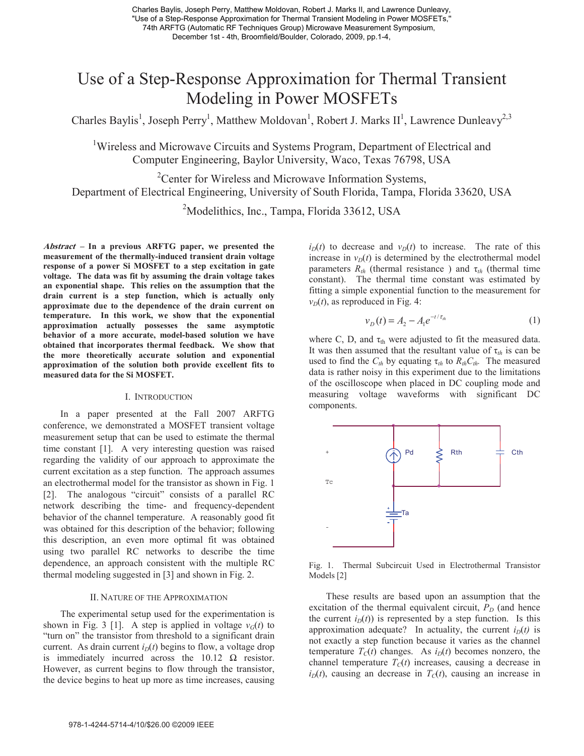Charles Baylis, Joseph Perry, Matthew Moldovan, Robert J. Marks II, and Lawrence Dunleavy, "Use of a Step-Response Approximation for Thermal Transient Modeling in Power MOSFETs,'' 74th ARFTG (Automatic RF Techniques Group) Microwave Measurement Symposium, December 1st - 4th, Broomfield/Boulder, Colorado, 2009, pp.1-4,

# Use of a Step-Response Approximation for Thermal Transient Modeling in Power MOSFETs

Charles Baylis<sup>1</sup>, Joseph Perry<sup>1</sup>, Matthew Moldovan<sup>1</sup>, Robert J. Marks II<sup>1</sup>, Lawrence Dunleavy<sup>2,3</sup>

<sup>1</sup>Wireless and Microwave Circuits and Systems Program, Department of Electrical and Computer Engineering, Baylor University, Waco, Texas 76798, USA

<sup>2</sup>Center for Wireless and Microwave Information Systems, Department of Electrical Engineering, University of South Florida, Tampa, Florida 33620, USA

<sup>2</sup>Modelithics, Inc., Tampa, Florida 33612, USA

**Abstract – In a previous ARFTG paper, we presented the measurement of the thermally-induced transient drain voltage response of a power Si MOSFET to a step excitation in gate voltage. The data was fit by assuming the drain voltage takes an exponential shape. This relies on the assumption that the drain current is a step function, which is actually only approximate due to the dependence of the drain current on temperature. In this work, we show that the exponential approximation actually possesses the same asymptotic behavior of a more accurate, model-based solution we have obtained that incorporates thermal feedback. We show that the more theoretically accurate solution and exponential approximation of the solution both provide excellent fits to measured data for the Si MOSFET.** 

#### I. INTRODUCTION

In a paper presented at the Fall 2007 ARFTG conference, we demonstrated a MOSFET transient voltage measurement setup that can be used to estimate the thermal time constant [1]. A very interesting question was raised regarding the validity of our approach to approximate the current excitation as a step function. The approach assumes an electrothermal model for the transistor as shown in Fig. 1 [2]. The analogous "circuit" consists of a parallel RC network describing the time- and frequency-dependent behavior of the channel temperature. A reasonably good fit was obtained for this description of the behavior; following this description, an even more optimal fit was obtained using two parallel RC networks to describe the time dependence, an approach consistent with the multiple RC thermal modeling suggested in [3] and shown in Fig. 2.

# II. NATURE OF THE APPROXIMATION

The experimental setup used for the experimentation is shown in Fig. 3 [1]. A step is applied in voltage  $v_G(t)$  to "turn on" the transistor from threshold to a significant drain current. As drain current  $i_D(t)$  begins to flow, a voltage drop is immediately incurred across the  $10.12 \Omega$  resistor. However, as current begins to flow through the transistor, the device begins to heat up more as time increases, causing

 $i_D(t)$  to decrease and  $v_D(t)$  to increase. The rate of this increase in  $v_D(t)$  is determined by the electrothermal model parameters  $R_{th}$  (thermal resistance) and  $\tau_{th}$  (thermal time constant). The thermal time constant was estimated by fitting a simple exponential function to the measurement for  $v_D(t)$ , as reproduced in Fig. 4:

$$
v_D(t) = A_2 - A_1 e^{-t/\tau_{th}}
$$
 (1)

where C, D, and  $\tau_{th}$  were adjusted to fit the measured data. It was then assumed that the resultant value of  $\tau_{th}$  is can be used to find the  $C_{th}$  by equating  $\tau_{th}$  to  $R_{th}C_{th}$ . The measured data is rather noisy in this experiment due to the limitations of the oscilloscope when placed in DC coupling mode and measuring voltage waveforms with significant DC components.



Fig. 1. Thermal Subcircuit Used in Electrothermal Transistor Models [2]

These results are based upon an assumption that the excitation of the thermal equivalent circuit,  $P_D$  (and hence the current  $i_D(t)$ ) is represented by a step function. Is this approximation adequate? In actuality, the current  $i_D(t)$  is not exactly a step function because it varies as the channel temperature  $T_C(t)$  changes. As  $i_D(t)$  becomes nonzero, the channel temperature  $T<sub>C</sub>(t)$  increases, causing a decrease in  $i<sub>D</sub>(t)$ , causing an decrease in  $T<sub>C</sub>(t)$ , causing an increase in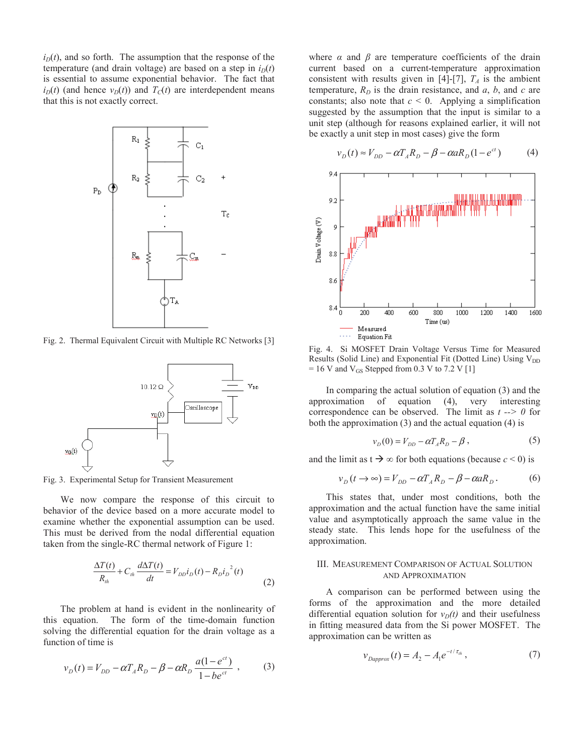$i_D(t)$ , and so forth. The assumption that the response of the temperature (and drain voltage) are based on a step in  $i<sub>D</sub>(t)$ is essential to assume exponential behavior. The fact that  $i_D(t)$  (and hence  $v_D(t)$ ) and  $T_C(t)$  are interdependent means that this is not exactly correct.



Fig. 2. Thermal Equivalent Circuit with Multiple RC Networks [3]



Fig. 3. Experimental Setup for Transient Measurement

We now compare the response of this circuit to behavior of the device based on a more accurate model to examine whether the exponential assumption can be used. This must be derived from the nodal differential equation taken from the single-RC thermal network of Figure 1:

$$
\frac{\Delta T(t)}{R_{th}} + C_{th} \frac{d\Delta T(t)}{dt} = V_{DD} i_D(t) - R_D i_D^{2}(t)
$$
\n(2)

The problem at hand is evident in the nonlinearity of this equation. The form of the time-domain function solving the differential equation for the drain voltage as a function of time is

$$
v_D(t) = V_{DD} - \alpha T_A R_D - \beta - \alpha R_D \frac{a(1 - e^{ct})}{1 - be^{ct}} ,
$$
 (3)

where  $\alpha$  and  $\beta$  are temperature coefficients of the drain current based on a current-temperature approximation consistent with results given in [4]-[7],  $T_A$  is the ambient temperature,  $R_D$  is the drain resistance, and  $a, b$ , and  $c$  are constants; also note that  $c < 0$ . Applying a simplification suggested by the assumption that the input is similar to a unit step (although for reasons explained earlier, it will not be exactly a unit step in most cases) give the form

$$
v_D(t) \approx V_{DD} - \alpha T_A R_D - \beta - \alpha a R_D (1 - e^{ct})
$$
 (4)



Fig. 4. Si MOSFET Drain Voltage Versus Time for Measured Results (Solid Line) and Exponential Fit (Dotted Line) Using  $V_{DD}$  $= 16$  V and V<sub>GS</sub> Stepped from 0.3 V to 7.2 V [1]

In comparing the actual solution of equation (3) and the approximation of equation (4), very interesting correspondence can be observed. The limit as *t --> 0* for both the approximation (3) and the actual equation (4) is

$$
v_D(0) = V_{DD} - \alpha T_A R_D - \beta , \qquad (5)
$$

and the limit as  $t \rightarrow \infty$  for both equations (because  $c < 0$ ) is

$$
v_D(t \to \infty) = V_{DD} - \alpha T_A R_D - \beta - \alpha a R_D. \tag{6}
$$

This states that, under most conditions, both the approximation and the actual function have the same initial value and asymptotically approach the same value in the steady state. This lends hope for the usefulness of the approximation.

## III. MEASUREMENT COMPARISON OF ACTUAL SOLUTION AND APPROXIMATION

A comparison can be performed between using the forms of the approximation and the more detailed differential equation solution for  $v_D(t)$  and their usefulness in fitting measured data from the Si power MOSFET. The approximation can be written as

$$
v_{Dapprox}(t) = A_2 - A_1 e^{-t/\tau_{th}}, \qquad (7)
$$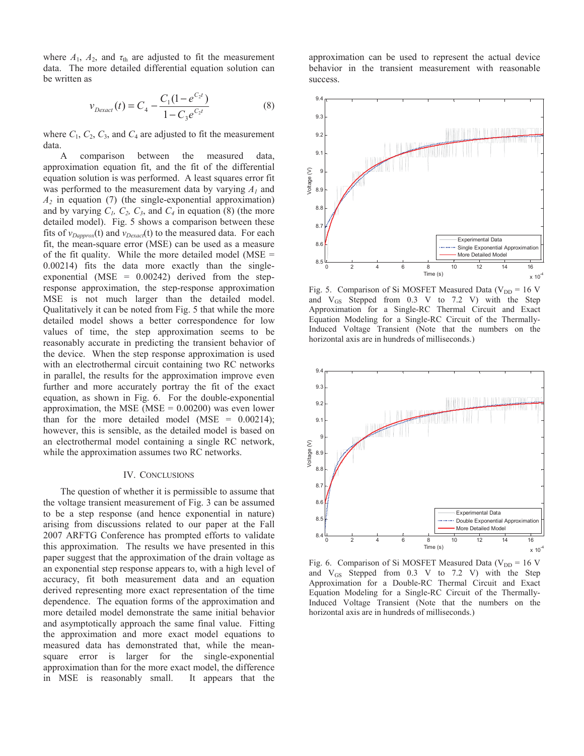where  $A_1$ ,  $A_2$ , and  $\tau_{\text{th}}$  are adjusted to fit the measurement data. The more detailed differential equation solution can be written as

$$
v_{Dexact}(t) = C_4 - \frac{C_1(1 - e^{C_2 t})}{1 - C_3 e^{C_2 t}}
$$
\n(8)

where  $C_1$ ,  $C_2$ ,  $C_3$ , and  $C_4$  are adjusted to fit the measurement data.

A comparison between the measured data, approximation equation fit, and the fit of the differential equation solution is was performed. A least squares error fit was performed to the measurement data by varying *A1* and  $A_2$  in equation (7) (the single-exponential approximation) and by varying  $C_1$ ,  $C_2$ ,  $C_3$ , and  $C_4$  in equation (8) (the more detailed model). Fig. 5 shows a comparison between these fits of  $v_{Daporox}$ (t) and  $v_{Dexact}$ (t) to the measured data. For each fit, the mean-square error (MSE) can be used as a measure of the fit quality. While the more detailed model ( $MSE =$ 0.00214) fits the data more exactly than the singleexponential (MSE =  $0.00242$ ) derived from the stepresponse approximation, the step-response approximation MSE is not much larger than the detailed model. Qualitatively it can be noted from Fig. 5 that while the more detailed model shows a better correspondence for low values of time, the step approximation seems to be reasonably accurate in predicting the transient behavior of the device. When the step response approximation is used with an electrothermal circuit containing two RC networks in parallel, the results for the approximation improve even further and more accurately portray the fit of the exact equation, as shown in Fig. 6. For the double-exponential approximation, the MSE (MSE  $= 0.00200$ ) was even lower than for the more detailed model (MSE =  $0.00214$ ); however, this is sensible, as the detailed model is based on an electrothermal model containing a single RC network, while the approximation assumes two RC networks.

## IV. CONCLUSIONS

The question of whether it is permissible to assume that the voltage transient measurement of Fig. 3 can be assumed to be a step response (and hence exponential in nature) arising from discussions related to our paper at the Fall 2007 ARFTG Conference has prompted efforts to validate this approximation. The results we have presented in this paper suggest that the approximation of the drain voltage as an exponential step response appears to, with a high level of accuracy, fit both measurement data and an equation derived representing more exact representation of the time dependence. The equation forms of the approximation and more detailed model demonstrate the same initial behavior and asymptotically approach the same final value. Fitting the approximation and more exact model equations to measured data has demonstrated that, while the meansquare error is larger for the single-exponential approximation than for the more exact model, the difference in MSE is reasonably small. It appears that the

approximation can be used to represent the actual device behavior in the transient measurement with reasonable success.



Fig. 5. Comparison of Si MOSFET Measured Data ( $V_{DD}$  = 16 V and  $V_{GS}$  Stepped from 0.3 V to 7.2 V) with the Step Approximation for a Single-RC Thermal Circuit and Exact Equation Modeling for a Single-RC Circuit of the Thermally-Induced Voltage Transient (Note that the numbers on the horizontal axis are in hundreds of milliseconds.)



Fig. 6. Comparison of Si MOSFET Measured Data ( $V_{DD}$  = 16 V and  $V_{GS}$  Stepped from 0.3 V to 7.2 V) with the Step Approximation for a Double-RC Thermal Circuit and Exact Equation Modeling for a Single-RC Circuit of the Thermally-Induced Voltage Transient (Note that the numbers on the horizontal axis are in hundreds of milliseconds.)